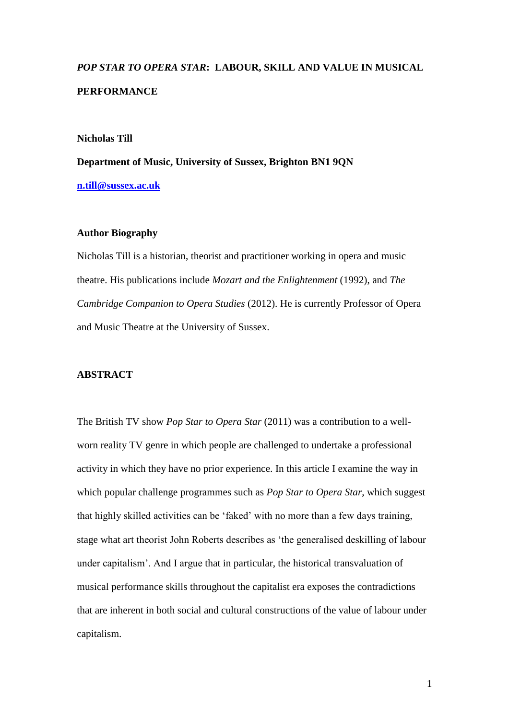# *POP STAR TO OPERA STAR***: LABOUR, SKILL AND VALUE IN MUSICAL PERFORMANCE**

### **Nicholas Till**

**Department of Music, University of Sussex, Brighton BN1 9QN [n.till@sussex.ac.uk](mailto:n.till@sussex.ac.uk)**

### **Author Biography**

Nicholas Till is a historian, theorist and practitioner working in opera and music theatre. His publications include *Mozart and the Enlightenment* (1992), and *The Cambridge Companion to Opera Studies* (2012). He is currently Professor of Opera and Music Theatre at the University of Sussex.

### **ABSTRACT**

The British TV show *Pop Star to Opera Star* (2011) was a contribution to a wellworn reality TV genre in which people are challenged to undertake a professional activity in which they have no prior experience. In this article I examine the way in which popular challenge programmes such as *Pop Star to Opera Star*, which suggest that highly skilled activities can be 'faked' with no more than a few days training, stage what art theorist John Roberts describes as 'the generalised deskilling of labour under capitalism'. And I argue that in particular, the historical transvaluation of musical performance skills throughout the capitalist era exposes the contradictions that are inherent in both social and cultural constructions of the value of labour under capitalism.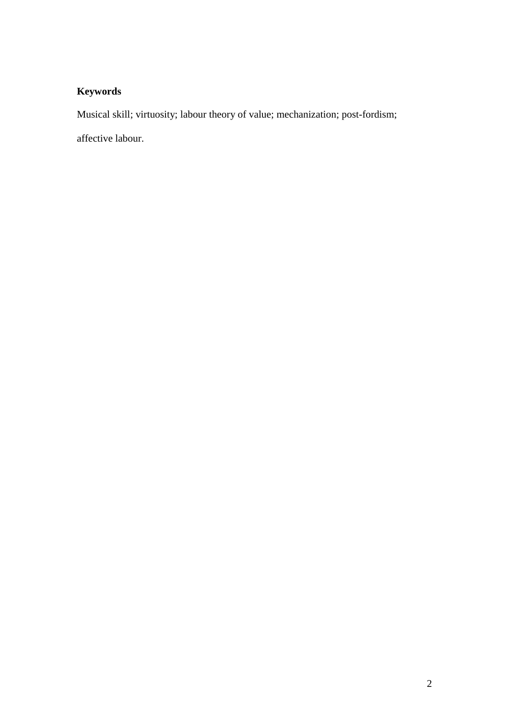## **Keywords**

Musical skill; virtuosity; labour theory of value; mechanization; post-fordism;

affective labour.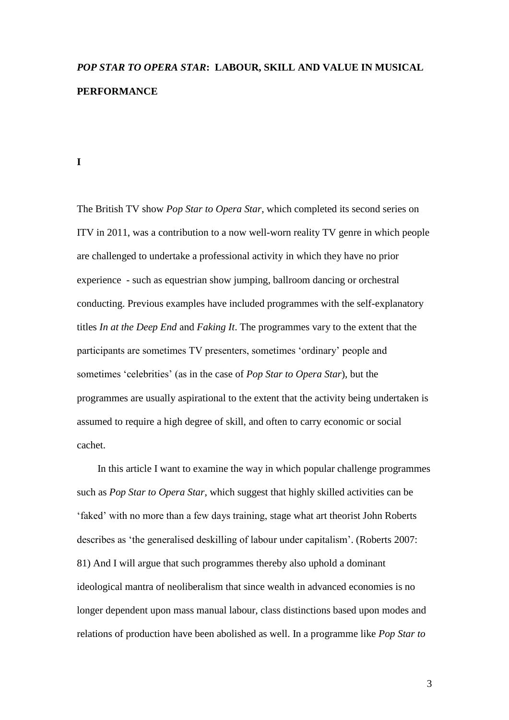# *POP STAR TO OPERA STAR***: LABOUR, SKILL AND VALUE IN MUSICAL PERFORMANCE**

#### **I**

The British TV show *Pop Star to Opera Star*, which completed its second series on ITV in 2011, was a contribution to a now well-worn reality TV genre in which people are challenged to undertake a professional activity in which they have no prior experience - such as equestrian show jumping, ballroom dancing or orchestral conducting. Previous examples have included programmes with the self-explanatory titles *In at the Deep End* and *Faking It*. The programmes vary to the extent that the participants are sometimes TV presenters, sometimes 'ordinary' people and sometimes 'celebrities' (as in the case of *Pop Star to Opera Star*), but the programmes are usually aspirational to the extent that the activity being undertaken is assumed to require a high degree of skill, and often to carry economic or social cachet.

In this article I want to examine the way in which popular challenge programmes such as *Pop Star to Opera Star*, which suggest that highly skilled activities can be 'faked' with no more than a few days training, stage what art theorist John Roberts describes as 'the generalised deskilling of labour under capitalism'. (Roberts 2007: 81) And I will argue that such programmes thereby also uphold a dominant ideological mantra of neoliberalism that since wealth in advanced economies is no longer dependent upon mass manual labour, class distinctions based upon modes and relations of production have been abolished as well. In a programme like *Pop Star to*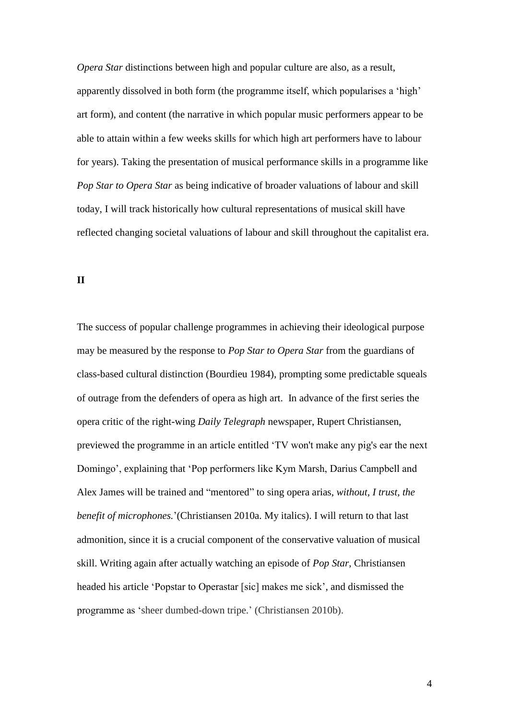*Opera Star* distinctions between high and popular culture are also, as a result, apparently dissolved in both form (the programme itself, which popularises a 'high' art form), and content (the narrative in which popular music performers appear to be able to attain within a few weeks skills for which high art performers have to labour for years). Taking the presentation of musical performance skills in a programme like *Pop Star to Opera Star* as being indicative of broader valuations of labour and skill today, I will track historically how cultural representations of musical skill have reflected changing societal valuations of labour and skill throughout the capitalist era.

**II** 

The success of popular challenge programmes in achieving their ideological purpose may be measured by the response to *Pop Star to Opera Star* from the guardians of class-based cultural distinction (Bourdieu 1984), prompting some predictable squeals of outrage from the defenders of opera as high art. In advance of the first series the opera critic of the right-wing *Daily Telegraph* newspaper, Rupert Christiansen, previewed the programme in an article entitled 'TV won't make any pig's ear the next Domingo', explaining that 'Pop performers like Kym Marsh, Darius Campbell and Alex James will be trained and "mentored" to sing opera arias, *without, I trust, the benefit of microphones.*'(Christiansen 2010a. My italics). I will return to that last admonition, since it is a crucial component of the conservative valuation of musical skill. Writing again after actually watching an episode of *Pop Star*, Christiansen headed his article 'Popstar to Operastar [sic] makes me sick', and dismissed the programme as 'sheer dumbed-down tripe.' (Christiansen 2010b).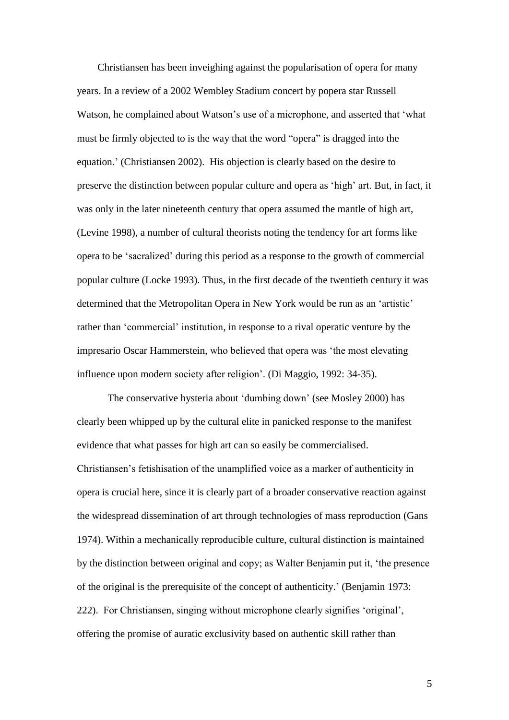Christiansen has been inveighing against the popularisation of opera for many years. In a review of a 2002 Wembley Stadium concert by popera star Russell Watson, he complained about Watson's use of a microphone, and asserted that 'what must be firmly objected to is the way that the word "opera" is dragged into the equation.' (Christiansen 2002). His objection is clearly based on the desire to preserve the distinction between popular culture and opera as 'high' art. But, in fact, it was only in the later nineteenth century that opera assumed the mantle of high art, (Levine 1998), a number of cultural theorists noting the tendency for art forms like opera to be 'sacralized' during this period as a response to the growth of commercial popular culture (Locke 1993). Thus, in the first decade of the twentieth century it was determined that the Metropolitan Opera in New York would be run as an 'artistic' rather than 'commercial' institution, in response to a rival operatic venture by the impresario Oscar Hammerstein, who believed that opera was 'the most elevating influence upon modern society after religion'. (Di Maggio, 1992: 34-35).

The conservative hysteria about 'dumbing down' (see Mosley 2000) has clearly been whipped up by the cultural elite in panicked response to the manifest evidence that what passes for high art can so easily be commercialised. Christiansen's fetishisation of the unamplified voice as a marker of authenticity in opera is crucial here, since it is clearly part of a broader conservative reaction against the widespread dissemination of art through technologies of mass reproduction (Gans 1974). Within a mechanically reproducible culture, cultural distinction is maintained by the distinction between original and copy; as Walter Benjamin put it, 'the presence of the original is the prerequisite of the concept of authenticity.' (Benjamin 1973: 222). For Christiansen, singing without microphone clearly signifies 'original', offering the promise of auratic exclusivity based on authentic skill rather than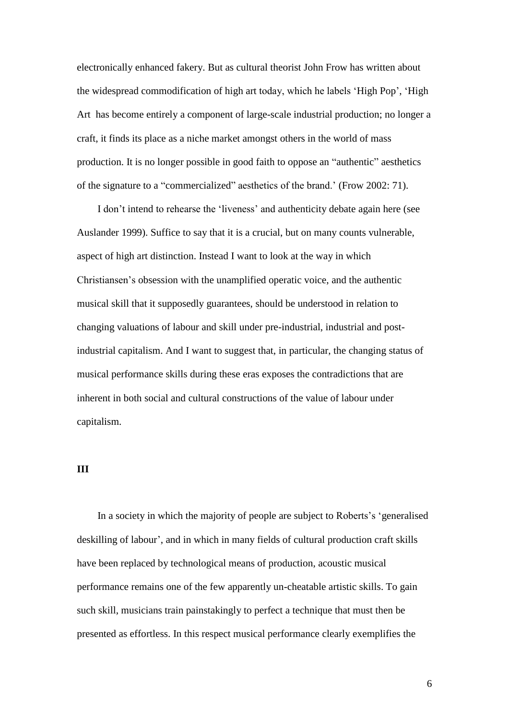electronically enhanced fakery. But as cultural theorist John Frow has written about the widespread commodification of high art today, which he labels 'High Pop', 'High Art has become entirely a component of large-scale industrial production; no longer a craft, it finds its place as a niche market amongst others in the world of mass production. It is no longer possible in good faith to oppose an "authentic" aesthetics of the signature to a "commercialized" aesthetics of the brand.' (Frow 2002: 71).

I don't intend to rehearse the 'liveness' and authenticity debate again here (see Auslander 1999). Suffice to say that it is a crucial, but on many counts vulnerable, aspect of high art distinction. Instead I want to look at the way in which Christiansen's obsession with the unamplified operatic voice, and the authentic musical skill that it supposedly guarantees, should be understood in relation to changing valuations of labour and skill under pre-industrial, industrial and postindustrial capitalism. And I want to suggest that, in particular, the changing status of musical performance skills during these eras exposes the contradictions that are inherent in both social and cultural constructions of the value of labour under capitalism.

### **III**

In a society in which the majority of people are subject to Roberts's 'generalised deskilling of labour', and in which in many fields of cultural production craft skills have been replaced by technological means of production, acoustic musical performance remains one of the few apparently un-cheatable artistic skills. To gain such skill, musicians train painstakingly to perfect a technique that must then be presented as effortless. In this respect musical performance clearly exemplifies the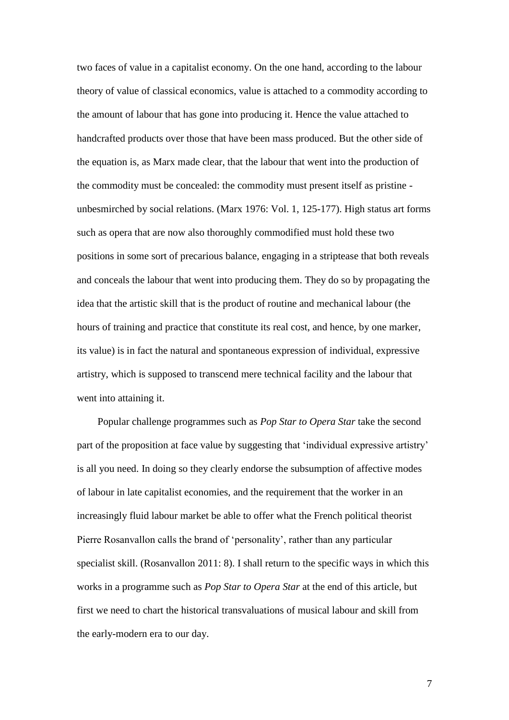two faces of value in a capitalist economy. On the one hand, according to the labour theory of value of classical economics, value is attached to a commodity according to the amount of labour that has gone into producing it. Hence the value attached to handcrafted products over those that have been mass produced. But the other side of the equation is, as Marx made clear, that the labour that went into the production of the commodity must be concealed: the commodity must present itself as pristine unbesmirched by social relations. (Marx 1976: Vol. 1, 125-177). High status art forms such as opera that are now also thoroughly commodified must hold these two positions in some sort of precarious balance, engaging in a striptease that both reveals and conceals the labour that went into producing them. They do so by propagating the idea that the artistic skill that is the product of routine and mechanical labour (the hours of training and practice that constitute its real cost, and hence, by one marker, its value) is in fact the natural and spontaneous expression of individual, expressive artistry, which is supposed to transcend mere technical facility and the labour that went into attaining it.

Popular challenge programmes such as *Pop Star to Opera Star* take the second part of the proposition at face value by suggesting that 'individual expressive artistry' is all you need. In doing so they clearly endorse the subsumption of affective modes of labour in late capitalist economies, and the requirement that the worker in an increasingly fluid labour market be able to offer what the French political theorist Pierre Rosanvallon calls the brand of 'personality', rather than any particular specialist skill. (Rosanvallon 2011: 8). I shall return to the specific ways in which this works in a programme such as *Pop Star to Opera Star* at the end of this article, but first we need to chart the historical transvaluations of musical labour and skill from the early-modern era to our day.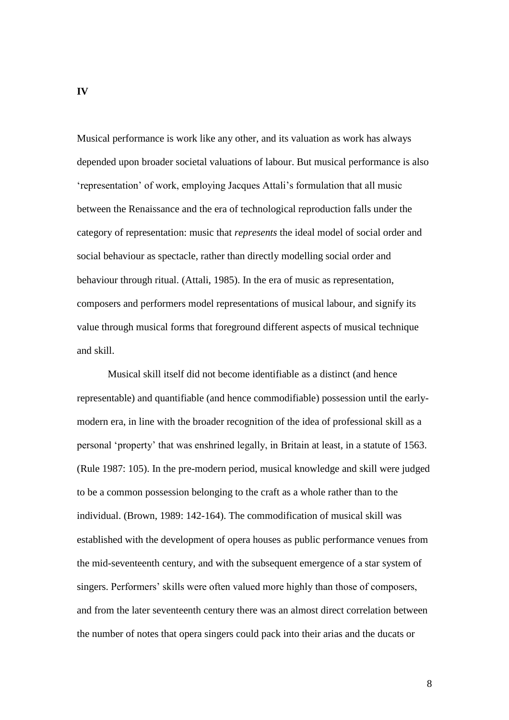Musical performance is work like any other, and its valuation as work has always depended upon broader societal valuations of labour. But musical performance is also 'representation' of work, employing Jacques Attali's formulation that all music between the Renaissance and the era of technological reproduction falls under the category of representation: music that *represents* the ideal model of social order and social behaviour as spectacle, rather than directly modelling social order and behaviour through ritual. (Attali, 1985). In the era of music as representation, composers and performers model representations of musical labour, and signify its value through musical forms that foreground different aspects of musical technique and skill.

Musical skill itself did not become identifiable as a distinct (and hence representable) and quantifiable (and hence commodifiable) possession until the earlymodern era, in line with the broader recognition of the idea of professional skill as a personal 'property' that was enshrined legally, in Britain at least, in a statute of 1563. (Rule 1987: 105). In the pre-modern period, musical knowledge and skill were judged to be a common possession belonging to the craft as a whole rather than to the individual. (Brown, 1989: 142-164). The commodification of musical skill was established with the development of opera houses as public performance venues from the mid-seventeenth century, and with the subsequent emergence of a star system of singers. Performers' skills were often valued more highly than those of composers, and from the later seventeenth century there was an almost direct correlation between the number of notes that opera singers could pack into their arias and the ducats or

**IV**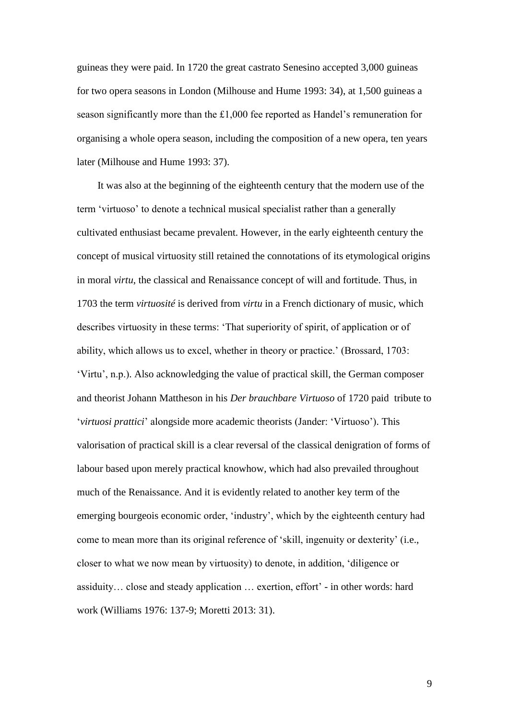guineas they were paid. In 1720 the great castrato Senesino accepted 3,000 guineas for two opera seasons in London (Milhouse and Hume 1993: 34), at 1,500 guineas a season significantly more than the £1,000 fee reported as Handel's remuneration for organising a whole opera season, including the composition of a new opera, ten years later (Milhouse and Hume 1993: 37).

It was also at the beginning of the eighteenth century that the modern use of the term 'virtuoso' to denote a technical musical specialist rather than a generally cultivated enthusiast became prevalent. However, in the early eighteenth century the concept of musical virtuosity still retained the connotations of its etymological origins in moral *virtu*, the classical and Renaissance concept of will and fortitude. Thus, in 1703 the term *virtuosité* is derived from *virtu* in a French dictionary of music, which describes virtuosity in these terms: 'That superiority of spirit, of application or of ability, which allows us to excel, whether in theory or practice.' (Brossard, 1703: 'Virtu', n.p.). Also acknowledging the value of practical skill, the German composer and theorist Johann Mattheson in his *Der brauchbare Virtuoso* of 1720 paid tribute to '*virtuosi prattici*' alongside more academic theorists (Jander: 'Virtuoso'). This valorisation of practical skill is a clear reversal of the classical denigration of forms of labour based upon merely practical knowhow, which had also prevailed throughout much of the Renaissance. And it is evidently related to another key term of the emerging bourgeois economic order, 'industry', which by the eighteenth century had come to mean more than its original reference of 'skill, ingenuity or dexterity' (i.e., closer to what we now mean by virtuosity) to denote, in addition, 'diligence or assiduity… close and steady application … exertion, effort' - in other words: hard work (Williams 1976: 137-9; Moretti 2013: 31).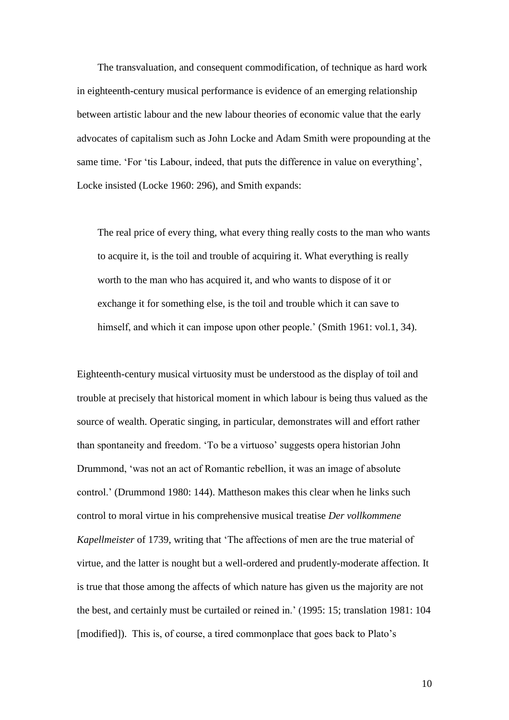The transvaluation, and consequent commodification, of technique as hard work in eighteenth-century musical performance is evidence of an emerging relationship between artistic labour and the new labour theories of economic value that the early advocates of capitalism such as John Locke and Adam Smith were propounding at the same time. 'For 'tis Labour, indeed, that puts the difference in value on everything', Locke insisted (Locke 1960: 296), and Smith expands:

The real price of every thing, what every thing really costs to the man who wants to acquire it, is the toil and trouble of acquiring it. What everything is really worth to the man who has acquired it, and who wants to dispose of it or exchange it for something else, is the toil and trouble which it can save to himself, and which it can impose upon other people.' (Smith 1961: vol.1, 34).

Eighteenth-century musical virtuosity must be understood as the display of toil and trouble at precisely that historical moment in which labour is being thus valued as the source of wealth. Operatic singing, in particular, demonstrates will and effort rather than spontaneity and freedom. 'To be a virtuoso' suggests opera historian John Drummond, 'was not an act of Romantic rebellion, it was an image of absolute control.' (Drummond 1980: 144). Mattheson makes this clear when he links such control to moral virtue in his comprehensive musical treatise *Der vollkommene Kapellmeister* of 1739, writing that 'The affections of men are the true material of virtue, and the latter is nought but a well-ordered and prudently-moderate affection. It is true that those among the affects of which nature has given us the majority are not the best, and certainly must be curtailed or reined in.' (1995: 15; translation 1981: 104 [modified]). This is, of course, a tired commonplace that goes back to Plato's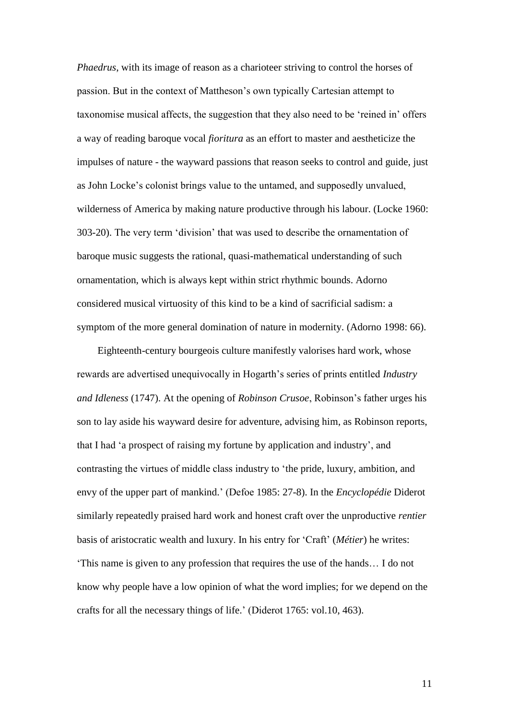*Phaedrus*, with its image of reason as a charioteer striving to control the horses of passion. But in the context of Mattheson's own typically Cartesian attempt to taxonomise musical affects, the suggestion that they also need to be 'reined in' offers a way of reading baroque vocal *fioritura* as an effort to master and aestheticize the impulses of nature - the wayward passions that reason seeks to control and guide, just as John Locke's colonist brings value to the untamed, and supposedly unvalued, wilderness of America by making nature productive through his labour. (Locke 1960: 303-20). The very term 'division' that was used to describe the ornamentation of baroque music suggests the rational, quasi-mathematical understanding of such ornamentation, which is always kept within strict rhythmic bounds. Adorno considered musical virtuosity of this kind to be a kind of sacrificial sadism: a symptom of the more general domination of nature in modernity. (Adorno 1998: 66).

Eighteenth-century bourgeois culture manifestly valorises hard work, whose rewards are advertised unequivocally in Hogarth's series of prints entitled *Industry and Idleness* (1747). At the opening of *Robinson Crusoe*, Robinson's father urges his son to lay aside his wayward desire for adventure, advising him, as Robinson reports, that I had 'a prospect of raising my fortune by application and industry', and contrasting the virtues of middle class industry to 'the pride, luxury, ambition, and envy of the upper part of mankind.' (Defoe 1985: 27-8). In the *Encyclopédie* Diderot similarly repeatedly praised hard work and honest craft over the unproductive *rentier* basis of aristocratic wealth and luxury. In his entry for 'Craft' (*Métier*) he writes: 'This name is given to any profession that requires the use of the hands… I do not know why people have a low opinion of what the word implies; for we depend on the crafts for all the necessary things of life.' (Diderot 1765: vol.10, 463).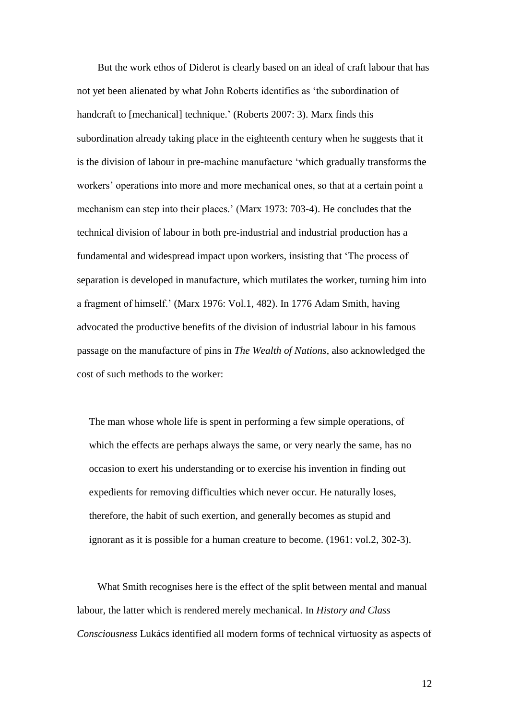But the work ethos of Diderot is clearly based on an ideal of craft labour that has not yet been alienated by what John Roberts identifies as 'the subordination of handcraft to [mechanical] technique.' (Roberts 2007: 3). Marx finds this subordination already taking place in the eighteenth century when he suggests that it is the division of labour in pre-machine manufacture 'which gradually transforms the workers' operations into more and more mechanical ones, so that at a certain point a mechanism can step into their places.' (Marx 1973: 703-4). He concludes that the technical division of labour in both pre-industrial and industrial production has a fundamental and widespread impact upon workers, insisting that 'The process of separation is developed in manufacture, which mutilates the worker, turning him into a fragment of himself.' (Marx 1976: Vol.1, 482). In 1776 Adam Smith, having advocated the productive benefits of the division of industrial labour in his famous passage on the manufacture of pins in *The Wealth of Nations*, also acknowledged the cost of such methods to the worker:

The man whose whole life is spent in performing a few simple operations, of which the effects are perhaps always the same, or very nearly the same, has no occasion to exert his understanding or to exercise his invention in finding out expedients for removing difficulties which never occur. He naturally loses, therefore, the habit of such exertion, and generally becomes as stupid and ignorant as it is possible for a human creature to become. (1961: vol.2, 302-3).

What Smith recognises here is the effect of the split between mental and manual labour, the latter which is rendered merely mechanical. In *History and Class Consciousness* Lukács identified all modern forms of technical virtuosity as aspects of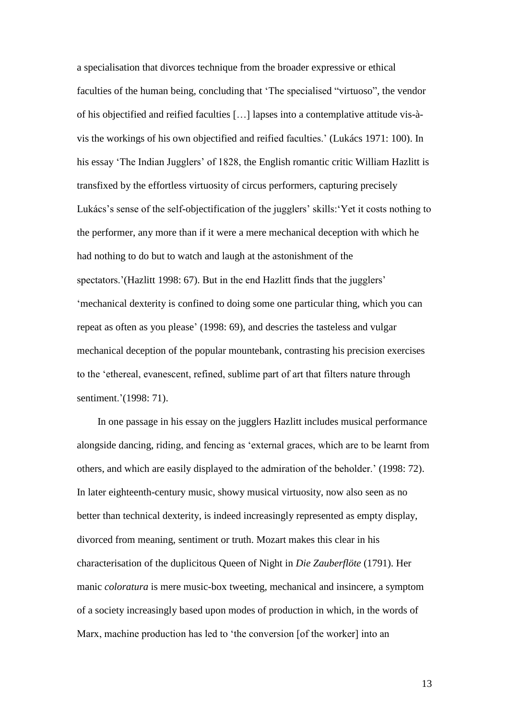a specialisation that divorces technique from the broader expressive or ethical faculties of the human being, concluding that 'The specialised "virtuoso", the vendor of his objectified and reified faculties […] lapses into a contemplative attitude vis-àvis the workings of his own objectified and reified faculties.' (Lukács 1971: 100). In his essay 'The Indian Jugglers' of 1828, the English romantic critic William Hazlitt is transfixed by the effortless virtuosity of circus performers, capturing precisely Lukács's sense of the self-objectification of the jugglers' skills:'Yet it costs nothing to the performer, any more than if it were a mere mechanical deception with which he had nothing to do but to watch and laugh at the astonishment of the spectators.'(Hazlitt 1998: 67). But in the end Hazlitt finds that the jugglers' 'mechanical dexterity is confined to doing some one particular thing, which you can repeat as often as you please' (1998: 69), and descries the tasteless and vulgar mechanical deception of the popular mountebank, contrasting his precision exercises to the 'ethereal, evanescent, refined, sublime part of art that filters nature through sentiment.'(1998: 71).

In one passage in his essay on the jugglers Hazlitt includes musical performance alongside dancing, riding, and fencing as 'external graces, which are to be learnt from others, and which are easily displayed to the admiration of the beholder.' (1998: 72). In later eighteenth-century music, showy musical virtuosity, now also seen as no better than technical dexterity, is indeed increasingly represented as empty display, divorced from meaning, sentiment or truth. Mozart makes this clear in his characterisation of the duplicitous Queen of Night in *Die Zauberflöte* (1791). Her manic *coloratura* is mere music-box tweeting, mechanical and insincere, a symptom of a society increasingly based upon modes of production in which, in the words of Marx, machine production has led to 'the conversion [of the worker] into an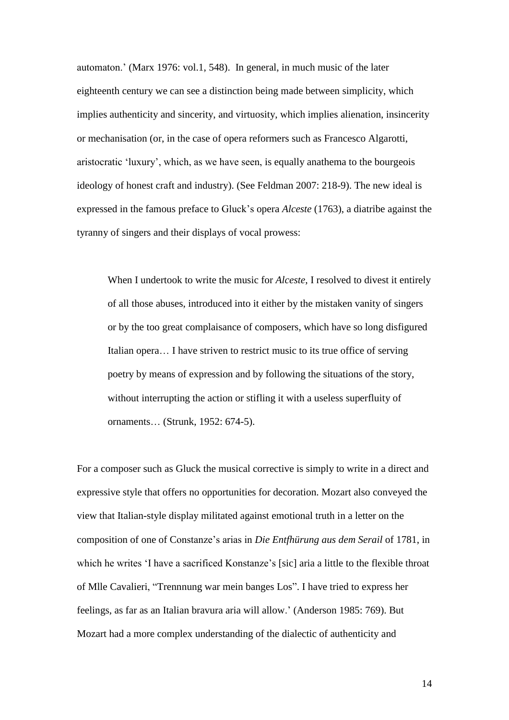automaton.' (Marx 1976: vol.1, 548). In general, in much music of the later eighteenth century we can see a distinction being made between simplicity, which implies authenticity and sincerity, and virtuosity, which implies alienation, insincerity or mechanisation (or, in the case of opera reformers such as Francesco Algarotti, aristocratic 'luxury', which, as we have seen, is equally anathema to the bourgeois ideology of honest craft and industry). (See Feldman 2007: 218-9). The new ideal is expressed in the famous preface to Gluck's opera *Alceste* (1763), a diatribe against the tyranny of singers and their displays of vocal prowess:

When I undertook to write the music for *Alceste*, I resolved to divest it entirely of all those abuses, introduced into it either by the mistaken vanity of singers or by the too great complaisance of composers, which have so long disfigured Italian opera… I have striven to restrict music to its true office of serving poetry by means of expression and by following the situations of the story, without interrupting the action or stifling it with a useless superfluity of ornaments… (Strunk, 1952: 674-5).

For a composer such as Gluck the musical corrective is simply to write in a direct and expressive style that offers no opportunities for decoration. Mozart also conveyed the view that Italian-style display militated against emotional truth in a letter on the composition of one of Constanze's arias in *Die Entfhürung aus dem Serail* of 1781, in which he writes 'I have a sacrificed Konstanze's [sic] aria a little to the flexible throat of Mlle Cavalieri, "Trennnung war mein banges Los". I have tried to express her feelings, as far as an Italian bravura aria will allow.' (Anderson 1985: 769). But Mozart had a more complex understanding of the dialectic of authenticity and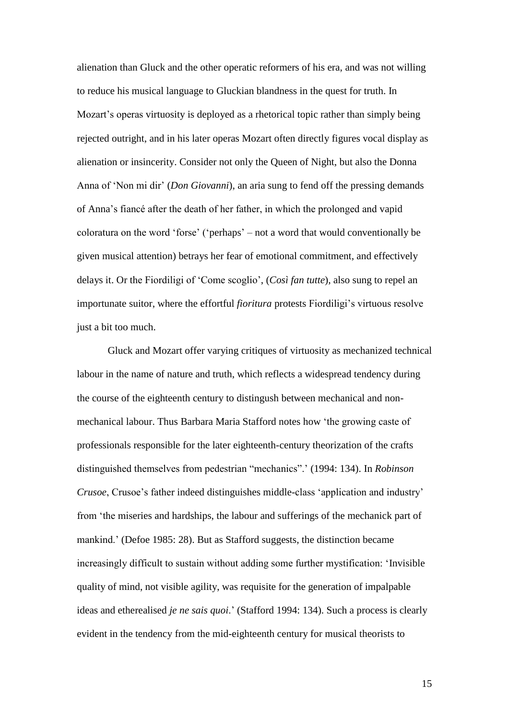alienation than Gluck and the other operatic reformers of his era, and was not willing to reduce his musical language to Gluckian blandness in the quest for truth. In Mozart's operas virtuosity is deployed as a rhetorical topic rather than simply being rejected outright, and in his later operas Mozart often directly figures vocal display as alienation or insincerity. Consider not only the Queen of Night, but also the Donna Anna of 'Non mi dir' (*Don Giovanni*), an aria sung to fend off the pressing demands of Anna's fiancé after the death of her father, in which the prolonged and vapid coloratura on the word 'forse' ('perhaps' – not a word that would conventionally be given musical attention) betrays her fear of emotional commitment, and effectively delays it. Or the Fiordiligi of 'Come scoglio', (*Così fan tutte*), also sung to repel an importunate suitor, where the effortful *fioritura* protests Fiordiligi's virtuous resolve just a bit too much.

Gluck and Mozart offer varying critiques of virtuosity as mechanized technical labour in the name of nature and truth, which reflects a widespread tendency during the course of the eighteenth century to distingush between mechanical and nonmechanical labour. Thus Barbara Maria Stafford notes how 'the growing caste of professionals responsible for the later eighteenth-century theorization of the crafts distinguished themselves from pedestrian "mechanics".' (1994: 134). In *Robinson Crusoe*, Crusoe's father indeed distinguishes middle-class 'application and industry' from 'the miseries and hardships, the labour and sufferings of the mechanick part of mankind.' (Defoe 1985: 28). But as Stafford suggests, the distinction became increasingly difficult to sustain without adding some further mystification: 'Invisible quality of mind, not visible agility, was requisite for the generation of impalpable ideas and etherealised *je ne sais quoi*.' (Stafford 1994: 134). Such a process is clearly evident in the tendency from the mid-eighteenth century for musical theorists to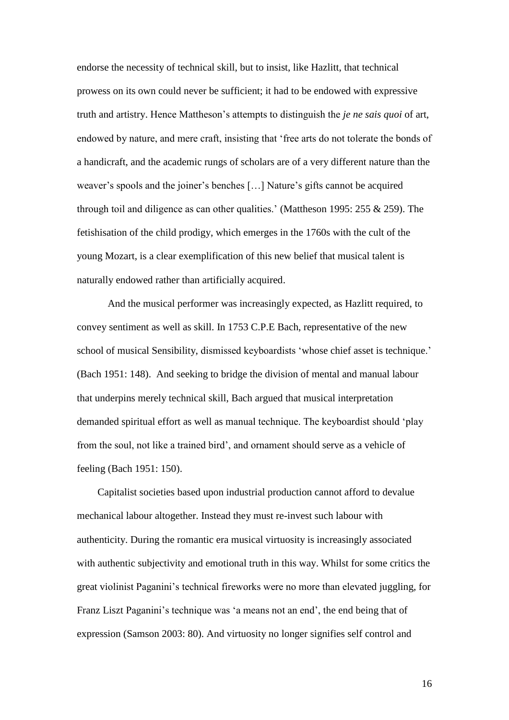endorse the necessity of technical skill, but to insist, like Hazlitt, that technical prowess on its own could never be sufficient; it had to be endowed with expressive truth and artistry. Hence Mattheson's attempts to distinguish the *je ne sais quoi* of art, endowed by nature, and mere craft, insisting that 'free arts do not tolerate the bonds of a handicraft, and the academic rungs of scholars are of a very different nature than the weaver's spools and the joiner's benches […] Nature's gifts cannot be acquired through toil and diligence as can other qualities.' (Mattheson 1995: 255 & 259). The fetishisation of the child prodigy, which emerges in the 1760s with the cult of the young Mozart, is a clear exemplification of this new belief that musical talent is naturally endowed rather than artificially acquired.

And the musical performer was increasingly expected, as Hazlitt required, to convey sentiment as well as skill. In 1753 C.P.E Bach, representative of the new school of musical Sensibility, dismissed keyboardists 'whose chief asset is technique.' (Bach 1951: 148). And seeking to bridge the division of mental and manual labour that underpins merely technical skill, Bach argued that musical interpretation demanded spiritual effort as well as manual technique. The keyboardist should 'play from the soul, not like a trained bird', and ornament should serve as a vehicle of feeling (Bach 1951: 150).

Capitalist societies based upon industrial production cannot afford to devalue mechanical labour altogether. Instead they must re-invest such labour with authenticity. During the romantic era musical virtuosity is increasingly associated with authentic subjectivity and emotional truth in this way. Whilst for some critics the great violinist Paganini's technical fireworks were no more than elevated juggling, for Franz Liszt Paganini's technique was 'a means not an end', the end being that of expression (Samson 2003: 80). And virtuosity no longer signifies self control and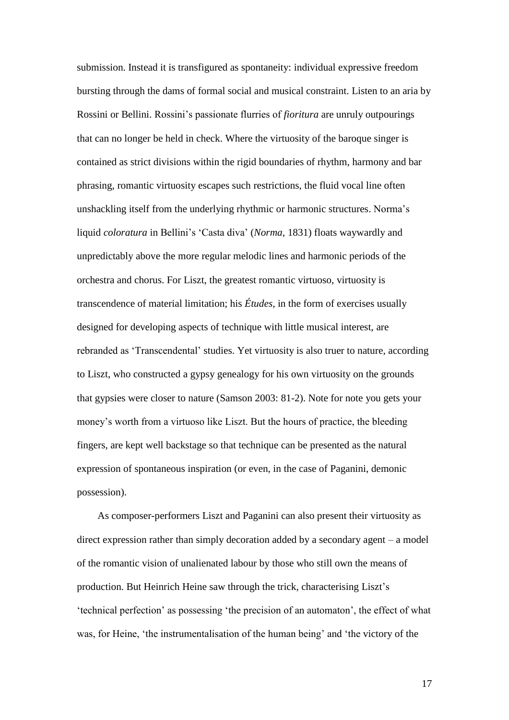submission. Instead it is transfigured as spontaneity: individual expressive freedom bursting through the dams of formal social and musical constraint. Listen to an aria by Rossini or Bellini. Rossini's passionate flurries of *fioritura* are unruly outpourings that can no longer be held in check. Where the virtuosity of the baroque singer is contained as strict divisions within the rigid boundaries of rhythm, harmony and bar phrasing, romantic virtuosity escapes such restrictions, the fluid vocal line often unshackling itself from the underlying rhythmic or harmonic structures. Norma's liquid *coloratura* in Bellini's 'Casta diva' (*Norma*, 1831) floats waywardly and unpredictably above the more regular melodic lines and harmonic periods of the orchestra and chorus. For Liszt, the greatest romantic virtuoso, virtuosity is transcendence of material limitation; his *Études*, in the form of exercises usually designed for developing aspects of technique with little musical interest, are rebranded as 'Transcendental' studies. Yet virtuosity is also truer to nature, according to Liszt, who constructed a gypsy genealogy for his own virtuosity on the grounds that gypsies were closer to nature (Samson 2003: 81-2). Note for note you gets your money's worth from a virtuoso like Liszt. But the hours of practice, the bleeding fingers, are kept well backstage so that technique can be presented as the natural expression of spontaneous inspiration (or even, in the case of Paganini, demonic possession).

As composer-performers Liszt and Paganini can also present their virtuosity as direct expression rather than simply decoration added by a secondary agent – a model of the romantic vision of unalienated labour by those who still own the means of production. But Heinrich Heine saw through the trick, characterising Liszt's 'technical perfection' as possessing 'the precision of an automaton', the effect of what was, for Heine, 'the instrumentalisation of the human being' and 'the victory of the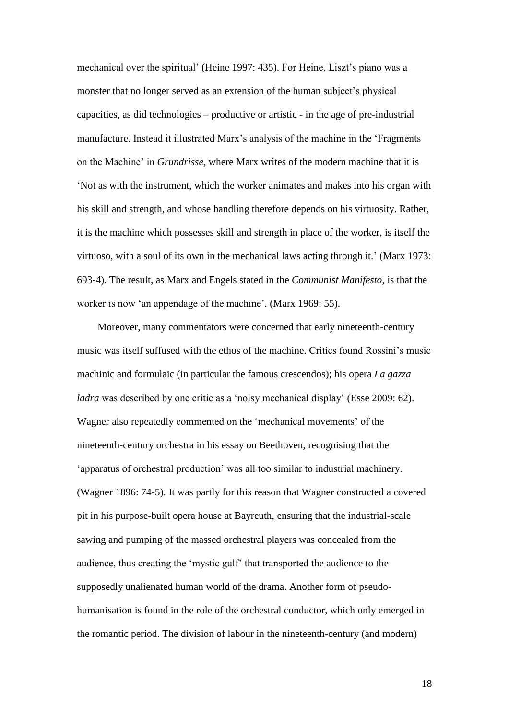mechanical over the spiritual' (Heine 1997: 435). For Heine, Liszt's piano was a monster that no longer served as an extension of the human subject's physical capacities, as did technologies – productive or artistic - in the age of pre-industrial manufacture. Instead it illustrated Marx's analysis of the machine in the 'Fragments on the Machine' in *Grundrisse*, where Marx writes of the modern machine that it is 'Not as with the instrument, which the worker animates and makes into his organ with his skill and strength, and whose handling therefore depends on his virtuosity. Rather, it is the machine which possesses skill and strength in place of the worker, is itself the virtuoso, with a soul of its own in the mechanical laws acting through it.' (Marx 1973: 693-4). The result, as Marx and Engels stated in the *Communist Manifesto*, is that the worker is now 'an appendage of the machine'. (Marx 1969: 55).

Moreover, many commentators were concerned that early nineteenth-century music was itself suffused with the ethos of the machine. Critics found Rossini's music machinic and formulaic (in particular the famous crescendos); his opera *La gazza ladra* was described by one critic as a 'noisy mechanical display' (Esse 2009: 62). Wagner also repeatedly commented on the 'mechanical movements' of the nineteenth-century orchestra in his essay on Beethoven, recognising that the 'apparatus of orchestral production' was all too similar to industrial machinery. (Wagner 1896: 74-5). It was partly for this reason that Wagner constructed a covered pit in his purpose-built opera house at Bayreuth, ensuring that the industrial-scale sawing and pumping of the massed orchestral players was concealed from the audience, thus creating the 'mystic gulf' that transported the audience to the supposedly unalienated human world of the drama. Another form of pseudohumanisation is found in the role of the orchestral conductor, which only emerged in the romantic period. The division of labour in the nineteenth-century (and modern)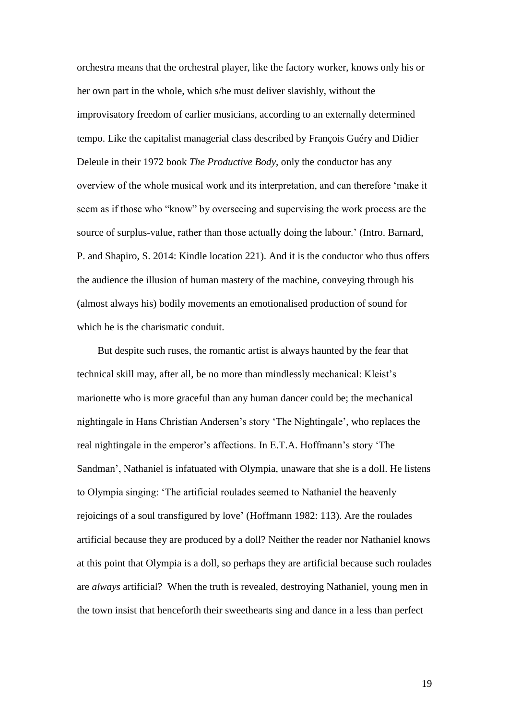orchestra means that the orchestral player, like the factory worker, knows only his or her own part in the whole, which s/he must deliver slavishly, without the improvisatory freedom of earlier musicians, according to an externally determined tempo. Like the capitalist managerial class described by François Guéry and Didier Deleule in their 1972 book *The Productive Body*, only the conductor has any overview of the whole musical work and its interpretation, and can therefore 'make it seem as if those who "know" by overseeing and supervising the work process are the source of surplus-value, rather than those actually doing the labour.' (Intro. Barnard, P. and Shapiro, S. 2014: Kindle location 221). And it is the conductor who thus offers the audience the illusion of human mastery of the machine, conveying through his (almost always his) bodily movements an emotionalised production of sound for which he is the charismatic conduit.

But despite such ruses, the romantic artist is always haunted by the fear that technical skill may, after all, be no more than mindlessly mechanical: Kleist's marionette who is more graceful than any human dancer could be; the mechanical nightingale in Hans Christian Andersen's story 'The Nightingale', who replaces the real nightingale in the emperor's affections. In E.T.A. Hoffmann's story 'The Sandman', Nathaniel is infatuated with Olympia, unaware that she is a doll. He listens to Olympia singing: 'The artificial roulades seemed to Nathaniel the heavenly rejoicings of a soul transfigured by love' (Hoffmann 1982: 113). Are the roulades artificial because they are produced by a doll? Neither the reader nor Nathaniel knows at this point that Olympia is a doll, so perhaps they are artificial because such roulades are *always* artificial? When the truth is revealed, destroying Nathaniel, young men in the town insist that henceforth their sweethearts sing and dance in a less than perfect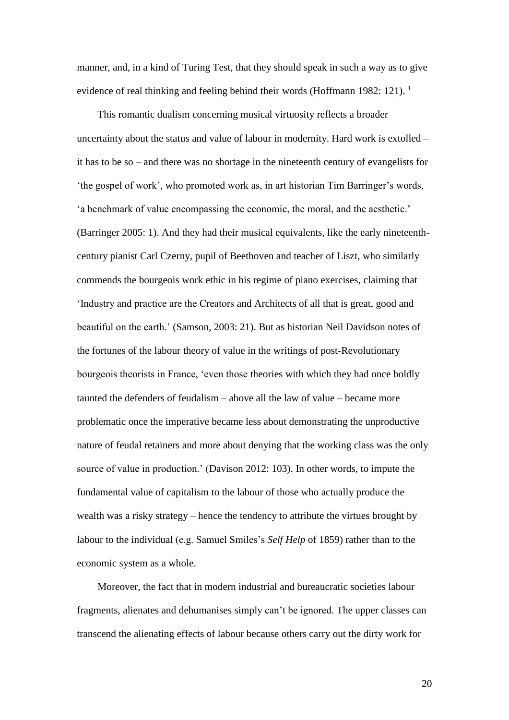manner, and, in a kind of Turing Test, that they should speak in such a way as to give evidence of real thinking and feeling behind their words (Hoffmann 1982: 121).<sup>1</sup>

This romantic dualism concerning musical virtuosity reflects a broader uncertainty about the status and value of labour in modernity. Hard work is extolled – it has to be so – and there was no shortage in the nineteenth century of evangelists for 'the gospel of work', who promoted work as, in art historian Tim Barringer's words, 'a benchmark of value encompassing the economic, the moral, and the aesthetic.' (Barringer 2005: 1). And they had their musical equivalents, like the early nineteenthcentury pianist Carl Czerny, pupil of Beethoven and teacher of Liszt, who similarly commends the bourgeois work ethic in his regime of piano exercises, claiming that 'Industry and practice are the Creators and Architects of all that is great, good and beautiful on the earth.' (Samson, 2003: 21). But as historian Neil Davidson notes of the fortunes of the labour theory of value in the writings of post-Revolutionary bourgeois theorists in France, 'even those theories with which they had once boldly taunted the defenders of feudalism – above all the law of value – became more problematic once the imperative became less about demonstrating the unproductive nature of feudal retainers and more about denying that the working class was the only source of value in production.' (Davison 2012: 103). In other words, to impute the fundamental value of capitalism to the labour of those who actually produce the wealth was a risky strategy – hence the tendency to attribute the virtues brought by labour to the individual (e.g. Samuel Smiles's *Self Help* of 1859) rather than to the economic system as a whole.

Moreover, the fact that in modern industrial and bureaucratic societies labour fragments, alienates and dehumanises simply can't be ignored. The upper classes can transcend the alienating effects of labour because others carry out the dirty work for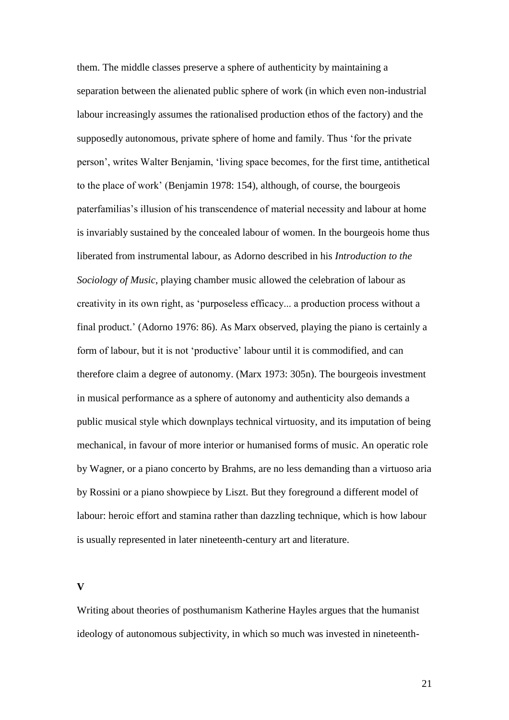them. The middle classes preserve a sphere of authenticity by maintaining a separation between the alienated public sphere of work (in which even non-industrial labour increasingly assumes the rationalised production ethos of the factory) and the supposedly autonomous, private sphere of home and family. Thus 'for the private person', writes Walter Benjamin, 'living space becomes, for the first time, antithetical to the place of work' (Benjamin 1978: 154), although, of course, the bourgeois paterfamilias's illusion of his transcendence of material necessity and labour at home is invariably sustained by the concealed labour of women. In the bourgeois home thus liberated from instrumental labour, as Adorno described in his *Introduction to the Sociology of Music*, playing chamber music allowed the celebration of labour as creativity in its own right, as 'purposeless efficacy... a production process without a final product.' (Adorno 1976: 86). As Marx observed, playing the piano is certainly a form of labour, but it is not 'productive' labour until it is commodified, and can therefore claim a degree of autonomy. (Marx 1973: 305n). The bourgeois investment in musical performance as a sphere of autonomy and authenticity also demands a public musical style which downplays technical virtuosity, and its imputation of being mechanical, in favour of more interior or humanised forms of music. An operatic role by Wagner, or a piano concerto by Brahms, are no less demanding than a virtuoso aria by Rossini or a piano showpiece by Liszt. But they foreground a different model of labour: heroic effort and stamina rather than dazzling technique, which is how labour is usually represented in later nineteenth-century art and literature.

**V**

Writing about theories of posthumanism Katherine Hayles argues that the humanist ideology of autonomous subjectivity, in which so much was invested in nineteenth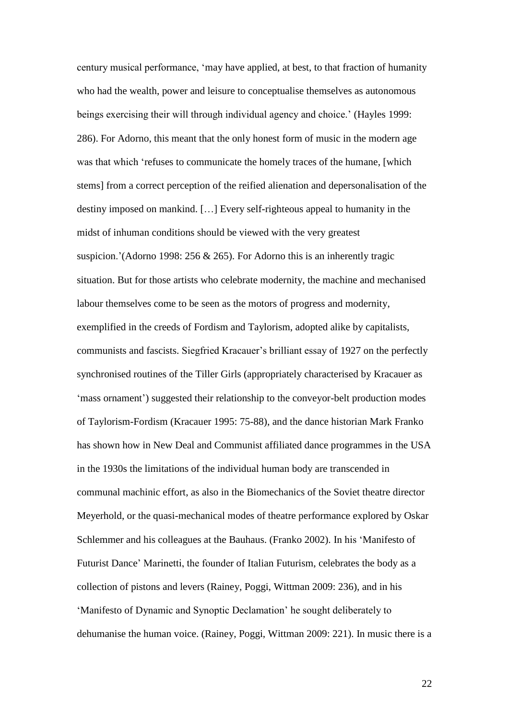century musical performance, 'may have applied, at best, to that fraction of humanity who had the wealth, power and leisure to conceptualise themselves as autonomous beings exercising their will through individual agency and choice.' (Hayles 1999: 286). For Adorno, this meant that the only honest form of music in the modern age was that which 'refuses to communicate the homely traces of the humane, [which stems] from a correct perception of the reified alienation and depersonalisation of the destiny imposed on mankind. […] Every self-righteous appeal to humanity in the midst of inhuman conditions should be viewed with the very greatest suspicion.'(Adorno 1998: 256 & 265). For Adorno this is an inherently tragic situation. But for those artists who celebrate modernity, the machine and mechanised labour themselves come to be seen as the motors of progress and modernity, exemplified in the creeds of Fordism and Taylorism, adopted alike by capitalists, communists and fascists. Siegfried Kracauer's brilliant essay of 1927 on the perfectly synchronised routines of the Tiller Girls (appropriately characterised by Kracauer as 'mass ornament') suggested their relationship to the conveyor-belt production modes of Taylorism-Fordism (Kracauer 1995: 75-88), and the dance historian Mark Franko has shown how in New Deal and Communist affiliated dance programmes in the USA in the 1930s the limitations of the individual human body are transcended in communal machinic effort, as also in the Biomechanics of the Soviet theatre director Meyerhold, or the quasi-mechanical modes of theatre performance explored by Oskar Schlemmer and his colleagues at the Bauhaus. (Franko 2002). In his 'Manifesto of Futurist Dance' Marinetti, the founder of Italian Futurism, celebrates the body as a collection of pistons and levers (Rainey, Poggi, Wittman 2009: 236), and in his 'Manifesto of Dynamic and Synoptic Declamation' he sought deliberately to dehumanise the human voice. (Rainey, Poggi, Wittman 2009: 221). In music there is a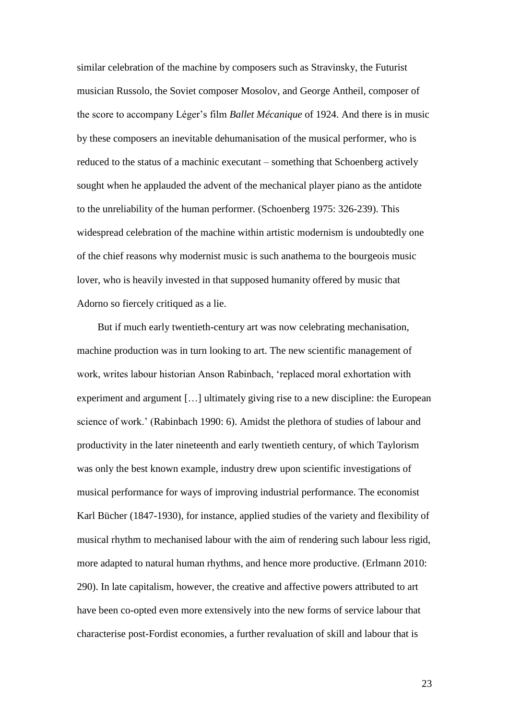similar celebration of the machine by composers such as Stravinsky, the Futurist musician Russolo, the Soviet composer Mosolov, and George Antheil, composer of the score to accompany Léger's film *Ballet Mécanique* of 1924. And there is in music by these composers an inevitable dehumanisation of the musical performer, who is reduced to the status of a machinic executant – something that Schoenberg actively sought when he applauded the advent of the mechanical player piano as the antidote to the unreliability of the human performer. (Schoenberg 1975: 326-239). This widespread celebration of the machine within artistic modernism is undoubtedly one of the chief reasons why modernist music is such anathema to the bourgeois music lover, who is heavily invested in that supposed humanity offered by music that Adorno so fiercely critiqued as a lie.

But if much early twentieth-century art was now celebrating mechanisation, machine production was in turn looking to art. The new scientific management of work, writes labour historian Anson Rabinbach, 'replaced moral exhortation with experiment and argument […] ultimately giving rise to a new discipline: the European science of work.' (Rabinbach 1990: 6). Amidst the plethora of studies of labour and productivity in the later nineteenth and early twentieth century, of which Taylorism was only the best known example, industry drew upon scientific investigations of musical performance for ways of improving industrial performance. The economist Karl Bücher (1847-1930), for instance, applied studies of the variety and flexibility of musical rhythm to mechanised labour with the aim of rendering such labour less rigid, more adapted to natural human rhythms, and hence more productive. (Erlmann 2010: 290). In late capitalism, however, the creative and affective powers attributed to art have been co-opted even more extensively into the new forms of service labour that characterise post-Fordist economies, a further revaluation of skill and labour that is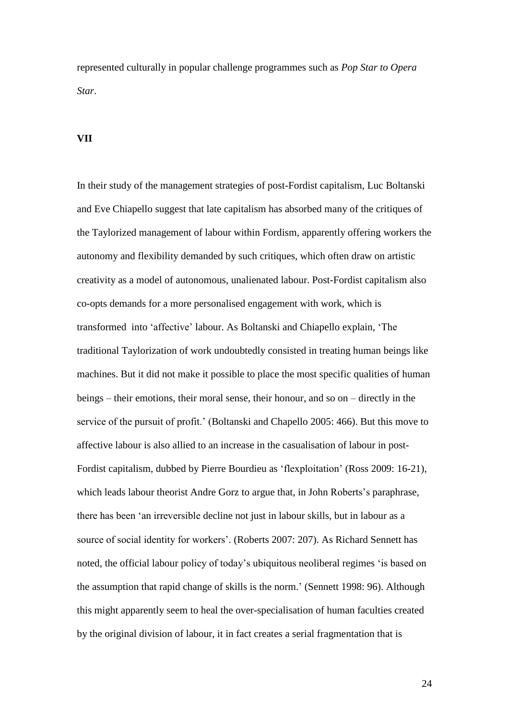represented culturally in popular challenge programmes such as *Pop Star to Opera Star*.

### **VII**

In their study of the management strategies of post-Fordist capitalism, Luc Boltanski and Eve Chiapello suggest that late capitalism has absorbed many of the critiques of the Taylorized management of labour within Fordism, apparently offering workers the autonomy and flexibility demanded by such critiques, which often draw on artistic creativity as a model of autonomous, unalienated labour. Post-Fordist capitalism also co-opts demands for a more personalised engagement with work, which is transformed into 'affective' labour. As Boltanski and Chiapello explain, 'The traditional Taylorization of work undoubtedly consisted in treating human beings like machines. But it did not make it possible to place the most specific qualities of human beings – their emotions, their moral sense, their honour, and so on – directly in the service of the pursuit of profit.' (Boltanski and Chapello 2005: 466). But this move to affective labour is also allied to an increase in the casualisation of labour in post-Fordist capitalism, dubbed by Pierre Bourdieu as 'flexploitation' (Ross 2009: 16-21), which leads labour theorist Andre Gorz to argue that, in John Roberts's paraphrase, there has been 'an irreversible decline not just in labour skills, but in labour as a source of social identity for workers'. (Roberts 2007: 207). As Richard Sennett has noted, the official labour policy of today's ubiquitous neoliberal regimes 'is based on the assumption that rapid change of skills is the norm.' (Sennett 1998: 96). Although this might apparently seem to heal the over-specialisation of human faculties created by the original division of labour, it in fact creates a serial fragmentation that is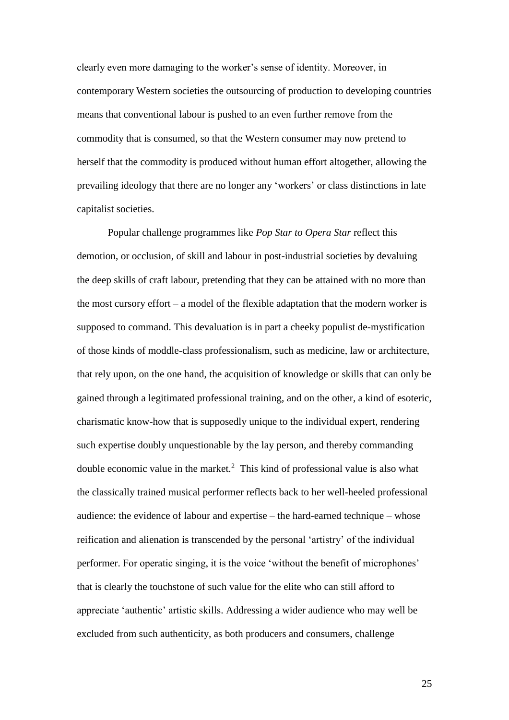clearly even more damaging to the worker's sense of identity. Moreover, in contemporary Western societies the outsourcing of production to developing countries means that conventional labour is pushed to an even further remove from the commodity that is consumed, so that the Western consumer may now pretend to herself that the commodity is produced without human effort altogether, allowing the prevailing ideology that there are no longer any 'workers' or class distinctions in late capitalist societies.

Popular challenge programmes like *Pop Star to Opera Star* reflect this demotion, or occlusion, of skill and labour in post-industrial societies by devaluing the deep skills of craft labour, pretending that they can be attained with no more than the most cursory effort – a model of the flexible adaptation that the modern worker is supposed to command. This devaluation is in part a cheeky populist de-mystification of those kinds of moddle-class professionalism, such as medicine, law or architecture, that rely upon, on the one hand, the acquisition of knowledge or skills that can only be gained through a legitimated professional training, and on the other, a kind of esoteric, charismatic know-how that is supposedly unique to the individual expert, rendering such expertise doubly unquestionable by the lay person, and thereby commanding double economic value in the market.<sup>2</sup> This kind of professional value is also what the classically trained musical performer reflects back to her well-heeled professional audience: the evidence of labour and expertise – the hard-earned technique – whose reification and alienation is transcended by the personal 'artistry' of the individual performer. For operatic singing, it is the voice 'without the benefit of microphones' that is clearly the touchstone of such value for the elite who can still afford to appreciate 'authentic' artistic skills. Addressing a wider audience who may well be excluded from such authenticity, as both producers and consumers, challenge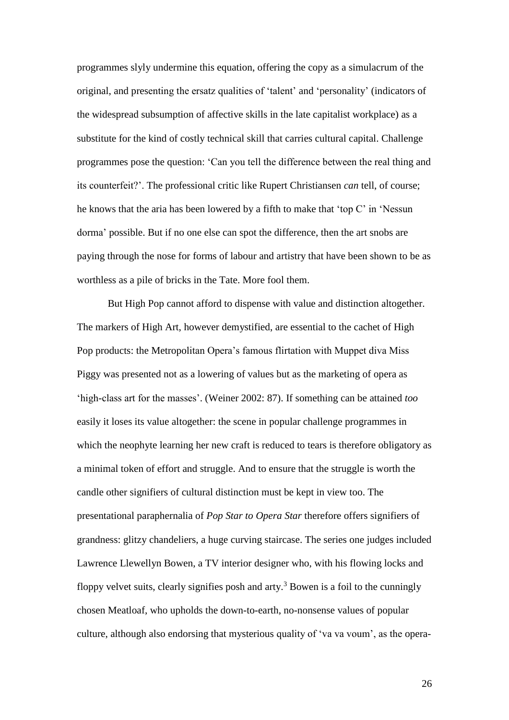programmes slyly undermine this equation, offering the copy as a simulacrum of the original, and presenting the ersatz qualities of 'talent' and 'personality' (indicators of the widespread subsumption of affective skills in the late capitalist workplace) as a substitute for the kind of costly technical skill that carries cultural capital. Challenge programmes pose the question: 'Can you tell the difference between the real thing and its counterfeit?'. The professional critic like Rupert Christiansen *can* tell, of course; he knows that the aria has been lowered by a fifth to make that 'top C' in 'Nessun dorma' possible. But if no one else can spot the difference, then the art snobs are paying through the nose for forms of labour and artistry that have been shown to be as worthless as a pile of bricks in the Tate. More fool them.

But High Pop cannot afford to dispense with value and distinction altogether. The markers of High Art, however demystified, are essential to the cachet of High Pop products: the Metropolitan Opera's famous flirtation with Muppet diva Miss Piggy was presented not as a lowering of values but as the marketing of opera as 'high-class art for the masses'. (Weiner 2002: 87). If something can be attained *too* easily it loses its value altogether: the scene in popular challenge programmes in which the neophyte learning her new craft is reduced to tears is therefore obligatory as a minimal token of effort and struggle. And to ensure that the struggle is worth the candle other signifiers of cultural distinction must be kept in view too. The presentational paraphernalia of *Pop Star to Opera Star* therefore offers signifiers of grandness: glitzy chandeliers, a huge curving staircase. The series one judges included Lawrence Llewellyn Bowen, a TV interior designer who, with his flowing locks and floppy velvet suits, clearly signifies posh and arty.<sup>3</sup> Bowen is a foil to the cunningly chosen Meatloaf, who upholds the down-to-earth, no-nonsense values of popular culture, although also endorsing that mysterious quality of 'va va voum', as the opera-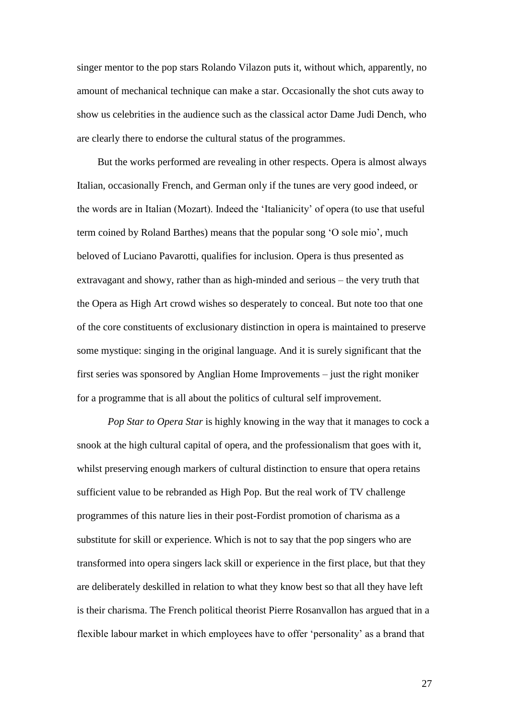singer mentor to the pop stars Rolando Vilazon puts it, without which, apparently, no amount of mechanical technique can make a star. Occasionally the shot cuts away to show us celebrities in the audience such as the classical actor Dame Judi Dench, who are clearly there to endorse the cultural status of the programmes.

But the works performed are revealing in other respects. Opera is almost always Italian, occasionally French, and German only if the tunes are very good indeed, or the words are in Italian (Mozart). Indeed the 'Italianicity' of opera (to use that useful term coined by Roland Barthes) means that the popular song 'O sole mio', much beloved of Luciano Pavarotti, qualifies for inclusion. Opera is thus presented as extravagant and showy, rather than as high-minded and serious – the very truth that the Opera as High Art crowd wishes so desperately to conceal. But note too that one of the core constituents of exclusionary distinction in opera is maintained to preserve some mystique: singing in the original language. And it is surely significant that the first series was sponsored by Anglian Home Improvements – just the right moniker for a programme that is all about the politics of cultural self improvement.

*Pop Star to Opera Star* is highly knowing in the way that it manages to cock a snook at the high cultural capital of opera, and the professionalism that goes with it, whilst preserving enough markers of cultural distinction to ensure that opera retains sufficient value to be rebranded as High Pop. But the real work of TV challenge programmes of this nature lies in their post-Fordist promotion of charisma as a substitute for skill or experience. Which is not to say that the pop singers who are transformed into opera singers lack skill or experience in the first place, but that they are deliberately deskilled in relation to what they know best so that all they have left is their charisma. The French political theorist Pierre Rosanvallon has argued that in a flexible labour market in which employees have to offer 'personality' as a brand that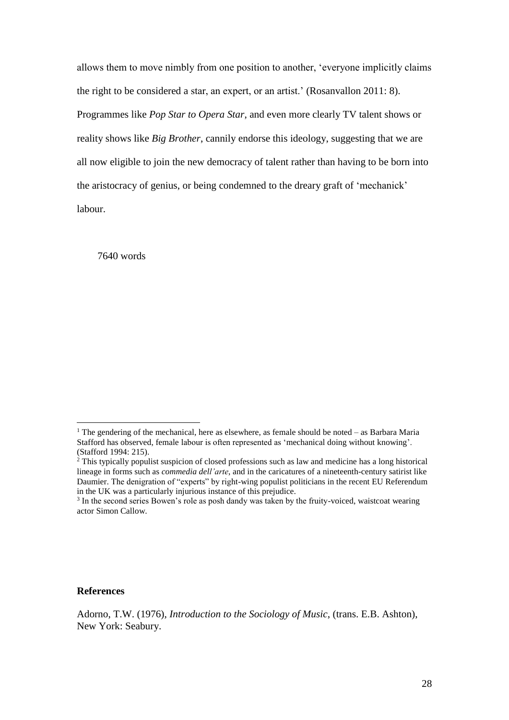allows them to move nimbly from one position to another, 'everyone implicitly claims the right to be considered a star, an expert, or an artist.' (Rosanvallon 2011: 8). Programmes like *Pop Star to Opera Star*, and even more clearly TV talent shows or reality shows like *Big Brother*, cannily endorse this ideology, suggesting that we are all now eligible to join the new democracy of talent rather than having to be born into the aristocracy of genius, or being condemned to the dreary graft of 'mechanick' labour.

7640 words

#### **References**

<sup>&</sup>lt;sup>1</sup> The gendering of the mechanical, here as elsewhere, as female should be noted – as Barbara Maria Stafford has observed, female labour is often represented as 'mechanical doing without knowing'. (Stafford 1994: 215).

<sup>2</sup> This typically populist suspicion of closed professions such as law and medicine has a long historical lineage in forms such as *commedia dell'arte*, and in the caricatures of a nineteenth-century satirist like Daumier. The denigration of "experts" by right-wing populist politicians in the recent EU Referendum in the UK was a particularly injurious instance of this prejudice.

<sup>&</sup>lt;sup>3</sup> In the second series Bowen's role as posh dandy was taken by the fruity-voiced, waistcoat wearing actor Simon Callow.

Adorno, T.W. (1976), *Introduction to the Sociology of Music*, (trans. E.B. Ashton), New York: Seabury.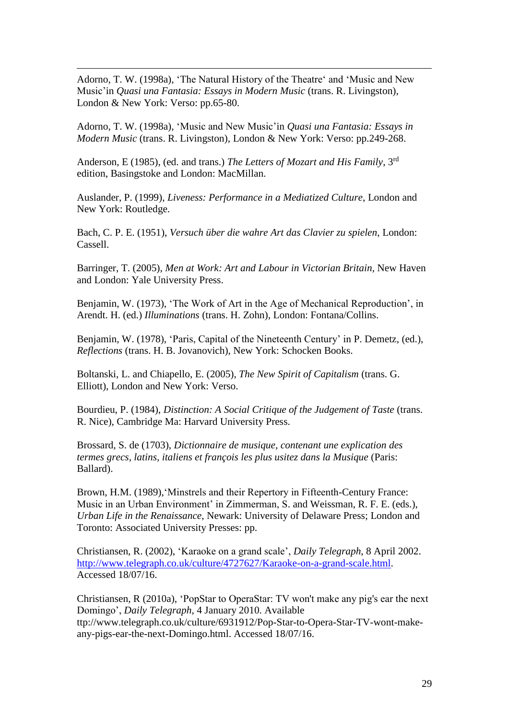Adorno, T. W. (1998a), 'The Natural History of the Theatre' and 'Music and New Music'in *Quasi una Fantasia: Essays in Modern Music* (trans. R. Livingston), London & New York: Verso: pp.65-80.

<u>.</u>

Adorno, T. W. (1998a), 'Music and New Music'in *Quasi una Fantasia: Essays in Modern Music* (trans. R. Livingston), London & New York: Verso: pp.249-268.

Anderson, E (1985), (ed. and trans.) *The Letters of Mozart and His Family*, 3<sup>rd</sup> edition, Basingstoke and London: MacMillan.

Auslander, P. (1999), *Liveness: Performance in a Mediatized Culture*, London and New York: Routledge.

Bach, C. P. E. (1951), *Versuch über die wahre Art das Clavier zu spielen*, London: Cassell.

Barringer, T. (2005), *Men at Work: Art and Labour in Victorian Britain*, New Haven and London: Yale University Press.

Benjamin, W. (1973), 'The Work of Art in the Age of Mechanical Reproduction', in Arendt. H. (ed.) *Illuminations* (trans. H. Zohn), London: Fontana/Collins.

Benjamin, W. (1978), 'Paris, Capital of the Nineteenth Century' in P. Demetz, (ed.), *Reflections* (trans. H. B. Jovanovich), New York: Schocken Books.

Boltanski, L. and Chiapello, E. (2005), *The New Spirit of Capitalism* (trans. G. Elliott), London and New York: Verso.

Bourdieu, P. (1984), *Distinction: A Social Critique of the Judgement of Taste* (trans. R. Nice), Cambridge Ma: Harvard University Press.

Brossard, S. de (1703), *Dictionnaire de musique, contenant une explication des termes grecs, latins, italiens et françois les plus usitez dans la Musique* (Paris: Ballard).

Brown, H.M. (1989), 'Minstrels and their Repertory in Fifteenth-Century France: Music in an Urban Environment' in Zimmerman, S. and Weissman, R. F. E. (eds.), *Urban Life in the Renaissance*, Newark: University of Delaware Press; London and Toronto: Associated University Presses: pp.

Christiansen, R. (2002), 'Karaoke on a grand scale', *Daily Telegraph*, 8 April 2002. [http://www.telegraph.co.uk/culture/4727627/Karaoke-on-a-grand-scale.html.](http://www.telegraph.co.uk/culture/4727627/Karaoke-on-a-grand-scale.html) Accessed 18/07/16.

Christiansen, R (2010a), 'PopStar to OperaStar: TV won't make any pig's ear the next Domingo', *Daily Telegraph*, 4 January 2010. Available ttp://www.telegraph.co.uk/culture/6931912/Pop-Star-to-Opera-Star-TV-wont-makeany-pigs-ear-the-next-Domingo.html. Accessed 18/07/16.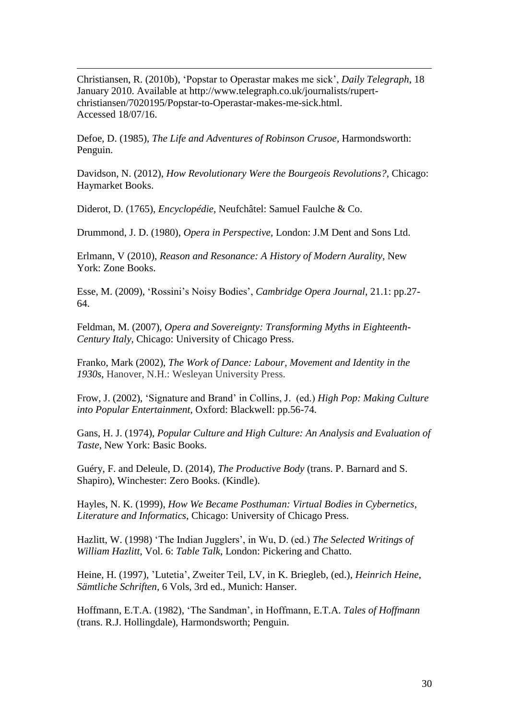Christiansen, R. (2010b), 'Popstar to Operastar makes me sick', *Daily Telegraph*, 18 January 2010. Available at http://www.telegraph.co.uk/journalists/rupertchristiansen/7020195/Popstar-to-Operastar-makes-me-sick.html. Accessed 18/07/16.

Defoe, D. (1985), *The Life and Adventures of Robinson Crusoe*, Harmondsworth: Penguin.

Davidson, N. (2012), *How Revolutionary Were the Bourgeois Revolutions?*, Chicago: Haymarket Books.

Diderot, D. (1765), *Encyclopédie*, Neufchâtel: Samuel Faulche & Co.

<u>.</u>

Drummond, J. D. (1980), *Opera in Perspective*, London: J.M Dent and Sons Ltd.

Erlmann, V (2010), *Reason and Resonance: A History of Modern Aurality*, New York: Zone Books.

Esse, M. (2009), 'Rossini's Noisy Bodies', *Cambridge Opera Journal*, 21.1: pp.27- 64.

Feldman, M. (2007), *Opera and Sovereignty: Transforming Myths in Eighteenth-Century Italy*, Chicago: University of Chicago Press.

Franko, Mark (2002), *The Work of Dance: Labour, Movement and Identity in the 1930s*, Hanover, N.H.: Wesleyan University Press.

Frow, J. (2002), 'Signature and Brand' in Collins, J. (ed.) *High Pop: Making Culture into Popular Entertainment,* Oxford: Blackwell: pp.56-74.

Gans, H. J. (1974), *Popular Culture and High Culture: An Analysis and Evaluation of Taste*, New York: Basic Books.

Guéry, F. and Deleule, D. (2014), *The Productive Body* (trans. P. Barnard and S. Shapiro), Winchester: Zero Books. (Kindle).

Hayles, N. K. (1999), *How We Became Posthuman: Virtual Bodies in Cybernetics, Literature and Informatics*, Chicago: University of Chicago Press.

Hazlitt, W. (1998) 'The Indian Jugglers', in Wu, D. (ed.) *The Selected Writings of William Hazlitt*, Vol. 6: *Table Talk*, London: Pickering and Chatto.

Heine, H. (1997), 'Lutetia', Zweiter Teil, LV, in K. Briegleb, (ed.), *Heinrich Heine*, *Sämtliche Schriften,* 6 Vols, 3rd ed., Munich: Hanser.

Hoffmann, E.T.A. (1982), 'The Sandman', in Hoffmann, E.T.A. *Tales of Hoffmann* (trans. R.J. Hollingdale), Harmondsworth; Penguin.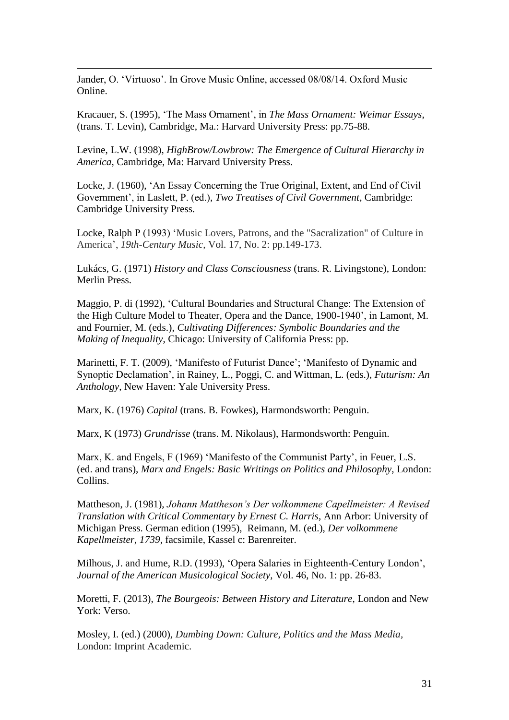Jander, O. 'Virtuoso'. In Grove Music Online, accessed 08/08/14. Oxford Music Online.

<u>.</u>

Kracauer, S. (1995), 'The Mass Ornament', in *The Mass Ornament: Weimar Essays*, (trans. T. Levin), Cambridge, Ma.: Harvard University Press: pp.75-88.

Levine, L.W. (1998), *HighBrow/Lowbrow: The Emergence of Cultural Hierarchy in America*, Cambridge, Ma: Harvard University Press.

Locke, J. (1960), 'An Essay Concerning the True Original, Extent, and End of Civil Government', in Laslett, P. (ed.), *Two Treatises of Civil Government*, Cambridge: Cambridge University Press.

Locke, Ralph P (1993) 'Music Lovers, Patrons, and the "Sacralization" of Culture in America', *19th-Century Music*, Vol. 17, No. 2: pp.149-173.

Lukács, G. (1971) *History and Class Consciousness* (trans. R. Livingstone), London: Merlin Press.

Maggio, P. di (1992), 'Cultural Boundaries and Structural Change: The Extension of the High Culture Model to Theater, Opera and the Dance, 1900-1940', in Lamont, M. and Fournier, M. (eds.), *Cultivating Differences: Symbolic Boundaries and the Making of Inequality*, Chicago: University of California Press: pp.

Marinetti, F. T. (2009), 'Manifesto of Futurist Dance'; 'Manifesto of Dynamic and Synoptic Declamation', in Rainey, L., Poggi, C. and Wittman, L. (eds.), *Futurism: An Anthology*, New Haven: Yale University Press.

Marx, K. (1976) *Capital* (trans. B. Fowkes), Harmondsworth: Penguin.

Marx, K (1973) *Grundrisse* (trans. M. Nikolaus), Harmondsworth: Penguin.

Marx, K. and Engels, F (1969) 'Manifesto of the Communist Party', in Feuer, L.S. (ed. and trans), *Marx and Engels: Basic Writings on Politics and Philosophy*, London: Collins.

Mattheson, J. (1981), *Johann Mattheson's Der volkommene Capellmeister: A Revised Translation with Critical Commentary by Ernest C. Harris*, Ann Arbor: University of Michigan Press. German edition (1995), Reimann, M. (ed.), *Der volkommene Kapellmeister, 1739*, facsimile, Kassel c: Barenreiter.

Milhous, J. and Hume, R.D. (1993), 'Opera Salaries in Eighteenth-Century London', *Journal of the American Musicological Society*, Vol. 46, No. 1: pp. 26-83.

Moretti, F. (2013), *The Bourgeois: Between History and Literature*, London and New York: Verso.

Mosley, I. (ed.) (2000), *Dumbing Down: Culture, Politics and the Mass Media,*  London: Imprint Academic.